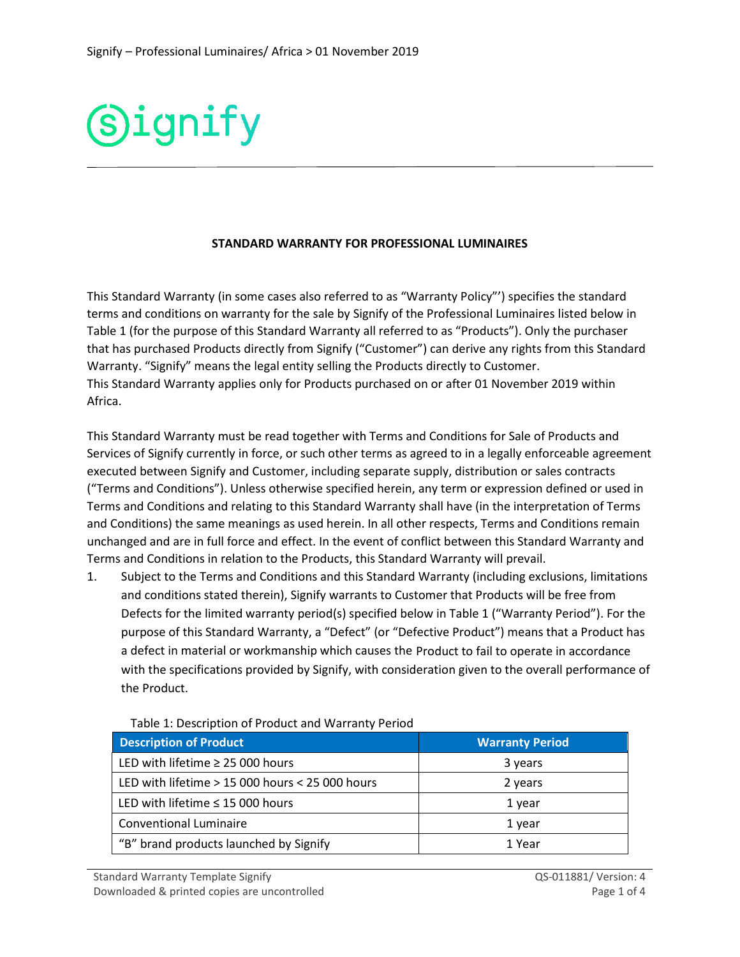

## **STANDARD WARRANTY FOR PROFESSIONAL LUMINAIRES**

This Standard Warranty (in some cases also referred to as "Warranty Policy"') specifies the standard terms and conditions on warranty for the sale by Signify of the Professional Luminaires listed below in Table 1 (for the purpose of this Standard Warranty all referred to as "Products"). Only the purchaser that has purchased Products directly from Signify ("Customer") can derive any rights from this Standard Warranty. "Signify" means the legal entity selling the Products directly to Customer. This Standard Warranty applies only for Products purchased on or after 01 November 2019 within Africa.

This Standard Warranty must be read together with Terms and Conditions for Sale of Products and Services of Signify currently in force, or such other terms as agreed to in a legally enforceable agreement executed between Signify and Customer, including separate supply, distribution or sales contracts ("Terms and Conditions"). Unless otherwise specified herein, any term or expression defined or used in Terms and Conditions and relating to this Standard Warranty shall have (in the interpretation of Terms and Conditions) the same meanings as used herein. In all other respects, Terms and Conditions remain unchanged and are in full force and effect. In the event of conflict between this Standard Warranty and Terms and Conditions in relation to the Products, this Standard Warranty will prevail.

1. Subject to the Terms and Conditions and this Standard Warranty (including exclusions, limitations and conditions stated therein), Signify warrants to Customer that Products will be free from Defects for the limited warranty period(s) specified below in Table 1 ("Warranty Period"). For the purpose of this Standard Warranty, a "Defect" (or "Defective Product") means that a Product has a defect in material or workmanship which causes the Product to fail to operate in accordance with the specifications provided by Signify, with consideration given to the overall performance of the Product.

| <b>Description of Product</b>                   | <b>Warranty Period</b> |
|-------------------------------------------------|------------------------|
| LED with lifetime $\geq$ 25 000 hours           | 3 years                |
| LED with lifetime > 15 000 hours < 25 000 hours | 2 years                |
| LED with lifetime $\leq$ 15 000 hours           | 1 year                 |
| <b>Conventional Luminaire</b>                   | 1 year                 |
| "B" brand products launched by Signify          | 1 Year                 |

## Table 1: Description of Product and Warranty Period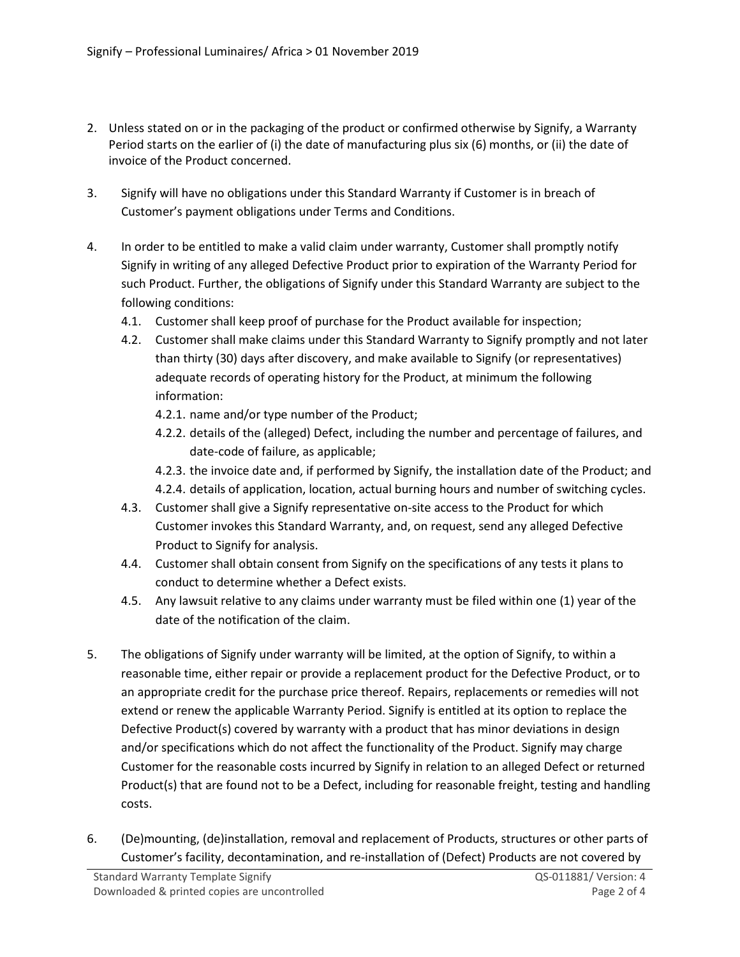- 2. Unless stated on or in the packaging of the product or confirmed otherwise by Signify, a Warranty Period starts on the earlier of (i) the date of manufacturing plus six (6) months, or (ii) the date of invoice of the Product concerned.
- 3. Signify will have no obligations under this Standard Warranty if Customer is in breach of Customer's payment obligations under Terms and Conditions.
- 4. In order to be entitled to make a valid claim under warranty, Customer shall promptly notify Signify in writing of any alleged Defective Product prior to expiration of the Warranty Period for such Product. Further, the obligations of Signify under this Standard Warranty are subject to the following conditions:
	- 4.1. Customer shall keep proof of purchase for the Product available for inspection;
	- 4.2. Customer shall make claims under this Standard Warranty to Signify promptly and not later than thirty (30) days after discovery, and make available to Signify (or representatives) adequate records of operating history for the Product, at minimum the following information:
		- 4.2.1. name and/or type number of the Product;
		- 4.2.2. details of the (alleged) Defect, including the number and percentage of failures, and date-code of failure, as applicable;
		- 4.2.3. the invoice date and, if performed by Signify, the installation date of the Product; and
		- 4.2.4. details of application, location, actual burning hours and number of switching cycles.
	- 4.3. Customer shall give a Signify representative on-site access to the Product for which Customer invokes this Standard Warranty, and, on request, send any alleged Defective Product to Signify for analysis.
	- 4.4. Customer shall obtain consent from Signify on the specifications of any tests it plans to conduct to determine whether a Defect exists.
	- 4.5. Any lawsuit relative to any claims under warranty must be filed within one (1) year of the date of the notification of the claim.
- 5. The obligations of Signify under warranty will be limited, at the option of Signify, to within a reasonable time, either repair or provide a replacement product for the Defective Product, or to an appropriate credit for the purchase price thereof. Repairs, replacements or remedies will not extend or renew the applicable Warranty Period. Signify is entitled at its option to replace the Defective Product(s) covered by warranty with a product that has minor deviations in design and/or specifications which do not affect the functionality of the Product. Signify may charge Customer for the reasonable costs incurred by Signify in relation to an alleged Defect or returned Product(s) that are found not to be a Defect, including for reasonable freight, testing and handling costs.
- 6. (De)mounting, (de)installation, removal and replacement of Products, structures or other parts of Customer's facility, decontamination, and re-installation of (Defect) Products are not covered by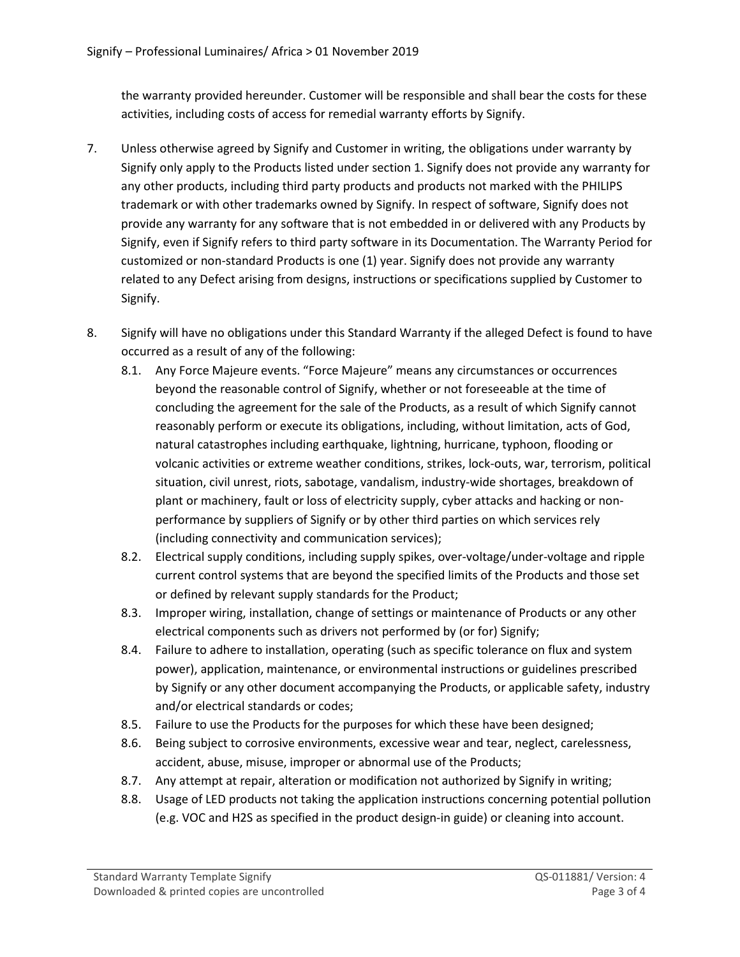the warranty provided hereunder. Customer will be responsible and shall bear the costs for these activities, including costs of access for remedial warranty efforts by Signify.

- 7. Unless otherwise agreed by Signify and Customer in writing, the obligations under warranty by Signify only apply to the Products listed under section 1. Signify does not provide any warranty for any other products, including third party products and products not marked with the PHILIPS trademark or with other trademarks owned by Signify. In respect of software, Signify does not provide any warranty for any software that is not embedded in or delivered with any Products by Signify, even if Signify refers to third party software in its Documentation. The Warranty Period for customized or non-standard Products is one (1) year. Signify does not provide any warranty related to any Defect arising from designs, instructions or specifications supplied by Customer to Signify.
- 8. Signify will have no obligations under this Standard Warranty if the alleged Defect is found to have occurred as a result of any of the following:
	- 8.1. Any Force Majeure events. "Force Majeure" means any circumstances or occurrences beyond the reasonable control of Signify, whether or not foreseeable at the time of concluding the agreement for the sale of the Products, as a result of which Signify cannot reasonably perform or execute its obligations, including, without limitation, acts of God, natural catastrophes including earthquake, lightning, hurricane, typhoon, flooding or volcanic activities or extreme weather conditions, strikes, lock-outs, war, terrorism, political situation, civil unrest, riots, sabotage, vandalism, industry-wide shortages, breakdown of plant or machinery, fault or loss of electricity supply, cyber attacks and hacking or nonperformance by suppliers of Signify or by other third parties on which services rely (including connectivity and communication services);
	- 8.2. Electrical supply conditions, including supply spikes, over-voltage/under-voltage and ripple current control systems that are beyond the specified limits of the Products and those set or defined by relevant supply standards for the Product;
	- 8.3. Improper wiring, installation, change of settings or maintenance of Products or any other electrical components such as drivers not performed by (or for) Signify;
	- 8.4. Failure to adhere to installation, operating (such as specific tolerance on flux and system power), application, maintenance, or environmental instructions or guidelines prescribed by Signify or any other document accompanying the Products, or applicable safety, industry and/or electrical standards or codes;
	- 8.5. Failure to use the Products for the purposes for which these have been designed;
	- 8.6. Being subject to corrosive environments, excessive wear and tear, neglect, carelessness, accident, abuse, misuse, improper or abnormal use of the Products;
	- 8.7. Any attempt at repair, alteration or modification not authorized by Signify in writing;
	- 8.8. Usage of LED products not taking the application instructions concerning potential pollution (e.g. VOC and H2S as specified in the product design-in guide) or cleaning into account.